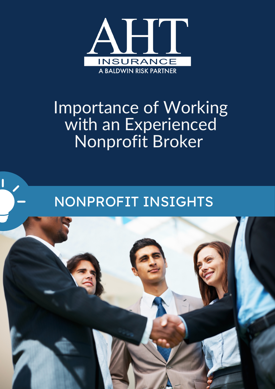

# Importance of Working with an Experienced Nonprofit Broker

## NONPROFIT INSIGHTS

ſ